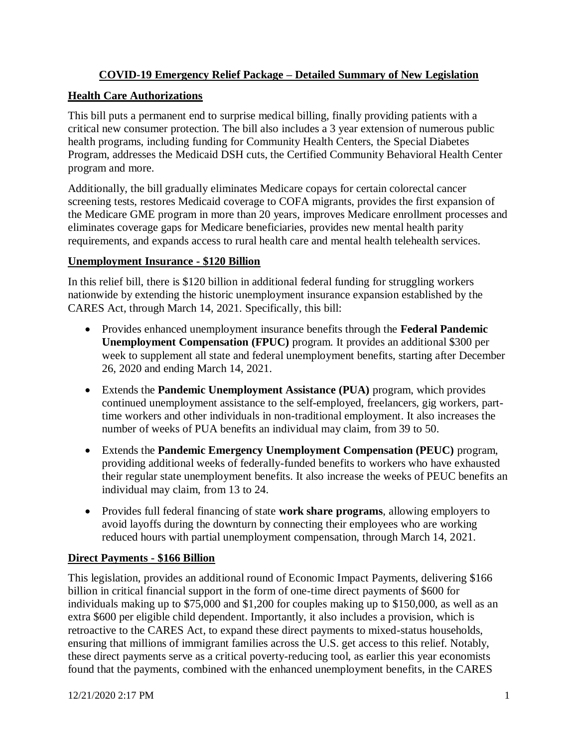## **COVID-19 Emergency Relief Package – Detailed Summary of New Legislation**

## **Health Care Authorizations**

This bill puts a permanent end to surprise medical billing, finally providing patients with a critical new consumer protection. The bill also includes a 3 year extension of numerous public health programs, including funding for Community Health Centers, the Special Diabetes Program, addresses the Medicaid DSH cuts, the Certified Community Behavioral Health Center program and more.

Additionally, the bill gradually eliminates Medicare copays for certain colorectal cancer screening tests, restores Medicaid coverage to COFA migrants, provides the first expansion of the Medicare GME program in more than 20 years, improves Medicare enrollment processes and eliminates coverage gaps for Medicare beneficiaries, provides new mental health parity requirements, and expands access to rural health care and mental health telehealth services.

## **Unemployment Insurance - \$120 Billion**

In this relief bill, there is \$120 billion in additional federal funding for struggling workers nationwide by extending the historic unemployment insurance expansion established by the CARES Act, through March 14, 2021. Specifically, this bill:

- Provides enhanced unemployment insurance benefits through the **Federal Pandemic Unemployment Compensation (FPUC)** program. It provides an additional \$300 per week to supplement all state and federal unemployment benefits, starting after December 26, 2020 and ending March 14, 2021.
- Extends the **Pandemic Unemployment Assistance (PUA)** program, which provides continued unemployment assistance to the self-employed, freelancers, gig workers, parttime workers and other individuals in non-traditional employment. It also increases the number of weeks of PUA benefits an individual may claim, from 39 to 50.
- Extends the **Pandemic Emergency Unemployment Compensation (PEUC)** program, providing additional weeks of federally-funded benefits to workers who have exhausted their regular state unemployment benefits. It also increase the weeks of PEUC benefits an individual may claim, from 13 to 24.
- Provides full federal financing of state **work share programs**, allowing employers to avoid layoffs during the downturn by connecting their employees who are working reduced hours with partial unemployment compensation, through March 14, 2021.

# **Direct Payments - \$166 Billion**

This legislation, provides an additional round of Economic Impact Payments, delivering \$166 billion in critical financial support in the form of one-time direct payments of \$600 for individuals making up to \$75,000 and \$1,200 for couples making up to \$150,000, as well as an extra \$600 per eligible child dependent. Importantly, it also includes a provision, which is retroactive to the CARES Act, to expand these direct payments to mixed-status households, ensuring that millions of immigrant families across the U.S. get access to this relief. Notably, these direct payments serve as a critical poverty-reducing tool, as earlier this year economists found that the payments, combined with the enhanced unemployment benefits, in the CARES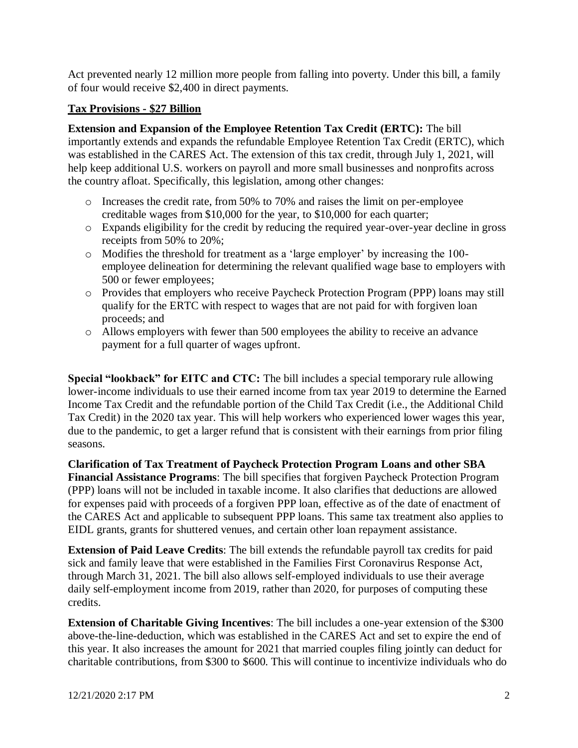Act prevented nearly 12 million more people from falling into poverty. Under this bill, a family of four would receive \$2,400 in direct payments.

#### **Tax Provisions - \$27 Billion**

**Extension and Expansion of the Employee Retention Tax Credit (ERTC):** The bill importantly extends and expands the refundable Employee Retention Tax Credit (ERTC), which was established in the CARES Act. The extension of this tax credit, through July 1, 2021, will

help keep additional U.S. workers on payroll and more small businesses and nonprofits across the country afloat. Specifically, this legislation, among other changes:

- o Increases the credit rate, from 50% to 70% and raises the limit on per-employee creditable wages from \$10,000 for the year, to \$10,000 for each quarter;
- o Expands eligibility for the credit by reducing the required year-over-year decline in gross receipts from 50% to 20%;
- o Modifies the threshold for treatment as a 'large employer' by increasing the 100 employee delineation for determining the relevant qualified wage base to employers with 500 or fewer employees;
- o Provides that employers who receive Paycheck Protection Program (PPP) loans may still qualify for the ERTC with respect to wages that are not paid for with forgiven loan proceeds; and
- o Allows employers with fewer than 500 employees the ability to receive an advance payment for a full quarter of wages upfront.

**Special "lookback" for EITC and CTC:** The bill includes a special temporary rule allowing lower-income individuals to use their earned income from tax year 2019 to determine the Earned Income Tax Credit and the refundable portion of the Child Tax Credit (i.e., the Additional Child Tax Credit) in the 2020 tax year. This will help workers who experienced lower wages this year, due to the pandemic, to get a larger refund that is consistent with their earnings from prior filing seasons.

**Clarification of Tax Treatment of Paycheck Protection Program Loans and other SBA Financial Assistance Programs**: The bill specifies that forgiven Paycheck Protection Program (PPP) loans will not be included in taxable income. It also clarifies that deductions are allowed for expenses paid with proceeds of a forgiven PPP loan, effective as of the date of enactment of the CARES Act and applicable to subsequent PPP loans. This same tax treatment also applies to EIDL grants, grants for shuttered venues, and certain other loan repayment assistance.

**Extension of Paid Leave Credits**: The bill extends the refundable payroll tax credits for paid sick and family leave that were established in the Families First Coronavirus Response Act, through March 31, 2021. The bill also allows self-employed individuals to use their average daily self-employment income from 2019, rather than 2020, for purposes of computing these credits.

**Extension of Charitable Giving Incentives**: The bill includes a one-year extension of the \$300 above-the-line-deduction, which was established in the CARES Act and set to expire the end of this year. It also increases the amount for 2021 that married couples filing jointly can deduct for charitable contributions, from \$300 to \$600. This will continue to incentivize individuals who do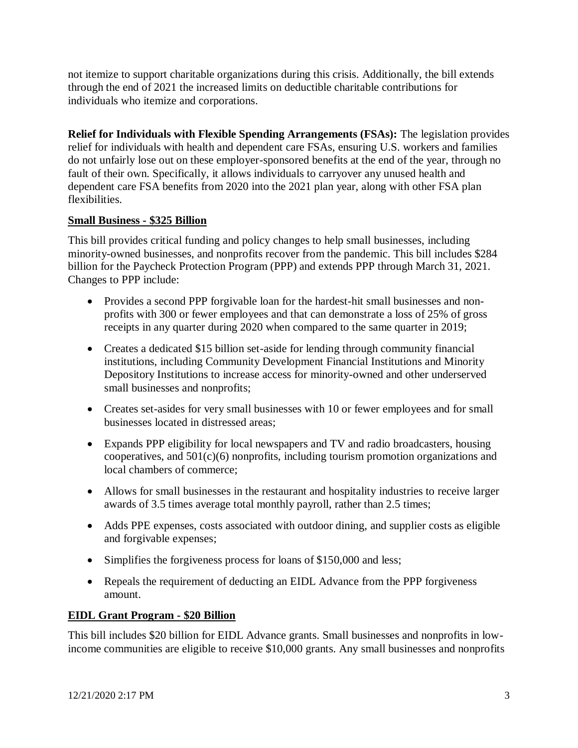not itemize to support charitable organizations during this crisis. Additionally, the bill extends through the end of 2021 the increased limits on deductible charitable contributions for individuals who itemize and corporations.

**Relief for Individuals with Flexible Spending Arrangements (FSAs):** The legislation provides relief for individuals with health and dependent care FSAs, ensuring U.S. workers and families do not unfairly lose out on these employer-sponsored benefits at the end of the year, through no fault of their own. Specifically, it allows individuals to carryover any unused health and dependent care FSA benefits from 2020 into the 2021 plan year, along with other FSA plan flexibilities.

### **Small Business - \$325 Billion**

This bill provides critical funding and policy changes to help small businesses, including minority-owned businesses, and nonprofits recover from the pandemic. This bill includes \$284 billion for the Paycheck Protection Program (PPP) and extends PPP through March 31, 2021. Changes to PPP include:

- Provides a second PPP forgivable loan for the hardest-hit small businesses and nonprofits with 300 or fewer employees and that can demonstrate a loss of 25% of gross receipts in any quarter during 2020 when compared to the same quarter in 2019;
- Creates a dedicated \$15 billion set-aside for lending through community financial institutions, including Community Development Financial Institutions and Minority Depository Institutions to increase access for minority-owned and other underserved small businesses and nonprofits;
- Creates set-asides for very small businesses with 10 or fewer employees and for small businesses located in distressed areas;
- Expands PPP eligibility for local newspapers and TV and radio broadcasters, housing cooperatives, and 501(c)(6) nonprofits, including tourism promotion organizations and local chambers of commerce;
- Allows for small businesses in the restaurant and hospitality industries to receive larger awards of 3.5 times average total monthly payroll, rather than 2.5 times;
- Adds PPE expenses, costs associated with outdoor dining, and supplier costs as eligible and forgivable expenses;
- Simplifies the forgiveness process for loans of \$150,000 and less;
- Repeals the requirement of deducting an EIDL Advance from the PPP forgiveness amount.

### **EIDL Grant Program - \$20 Billion**

This bill includes \$20 billion for EIDL Advance grants. Small businesses and nonprofits in lowincome communities are eligible to receive \$10,000 grants. Any small businesses and nonprofits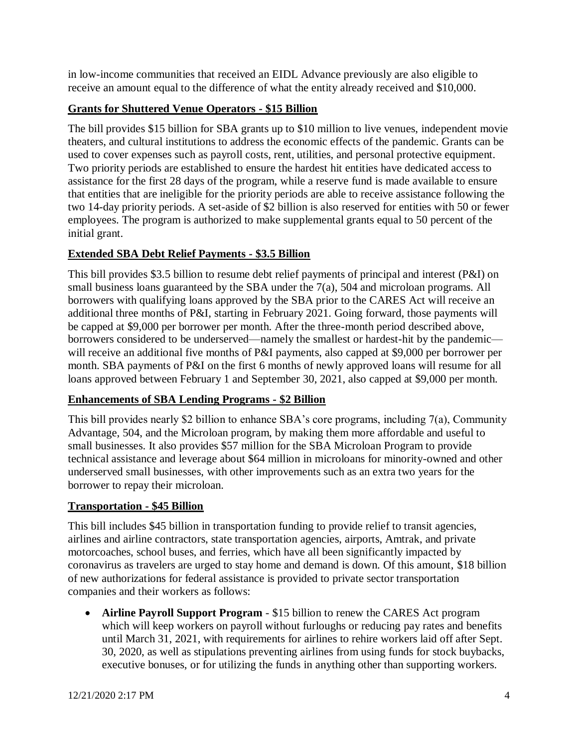in low-income communities that received an EIDL Advance previously are also eligible to receive an amount equal to the difference of what the entity already received and \$10,000.

# **Grants for Shuttered Venue Operators - \$15 Billion**

The bill provides \$15 billion for SBA grants up to \$10 million to live venues, independent movie theaters, and cultural institutions to address the economic effects of the pandemic. Grants can be used to cover expenses such as payroll costs, rent, utilities, and personal protective equipment. Two priority periods are established to ensure the hardest hit entities have dedicated access to assistance for the first 28 days of the program, while a reserve fund is made available to ensure that entities that are ineligible for the priority periods are able to receive assistance following the two 14-day priority periods. A set-aside of \$2 billion is also reserved for entities with 50 or fewer employees. The program is authorized to make supplemental grants equal to 50 percent of the initial grant.

## **Extended SBA Debt Relief Payments - \$3.5 Billion**

This bill provides \$3.5 billion to resume debt relief payments of principal and interest (P&I) on small business loans guaranteed by the SBA under the 7(a), 504 and microloan programs. All borrowers with qualifying loans approved by the SBA prior to the CARES Act will receive an additional three months of P&I, starting in February 2021. Going forward, those payments will be capped at \$9,000 per borrower per month. After the three-month period described above, borrowers considered to be underserved—namely the smallest or hardest-hit by the pandemic will receive an additional five months of P&I payments, also capped at \$9,000 per borrower per month. SBA payments of P&I on the first 6 months of newly approved loans will resume for all loans approved between February 1 and September 30, 2021, also capped at \$9,000 per month.

# **Enhancements of SBA Lending Programs - \$2 Billion**

This bill provides nearly \$2 billion to enhance SBA's core programs, including 7(a), Community Advantage, 504, and the Microloan program, by making them more affordable and useful to small businesses. It also provides \$57 million for the SBA Microloan Program to provide technical assistance and leverage about \$64 million in microloans for minority-owned and other underserved small businesses, with other improvements such as an extra two years for the borrower to repay their microloan.

### **Transportation - \$45 Billion**

This bill includes \$45 billion in transportation funding to provide relief to transit agencies, airlines and airline contractors, state transportation agencies, airports, Amtrak, and private motorcoaches, school buses, and ferries, which have all been significantly impacted by coronavirus as travelers are urged to stay home and demand is down. Of this amount, \$18 billion of new authorizations for federal assistance is provided to private sector transportation companies and their workers as follows:

 **Airline Payroll Support Program** - \$15 billion to renew the CARES Act program which will keep workers on payroll without furloughs or reducing pay rates and benefits until March 31, 2021, with requirements for airlines to rehire workers laid off after Sept. 30, 2020, as well as stipulations preventing airlines from using funds for stock buybacks, executive bonuses, or for utilizing the funds in anything other than supporting workers.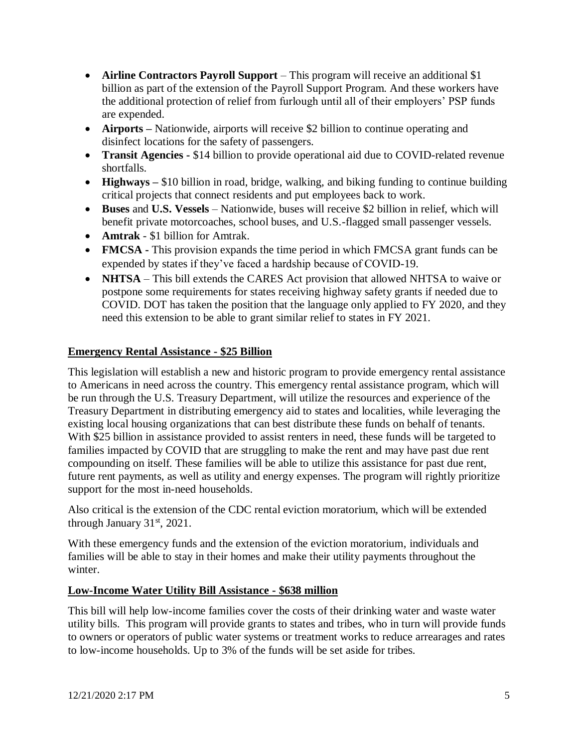- **Airline Contractors Payroll Support** This program will receive an additional \$1 billion as part of the extension of the Payroll Support Program. And these workers have the additional protection of relief from furlough until all of their employers' PSP funds are expended.
- **Airports –** Nationwide, airports will receive \$2 billion to continue operating and disinfect locations for the safety of passengers.
- **Transit Agencies -** \$14 billion to provide operational aid due to COVID-related revenue shortfalls.
- **Highways** \$10 billion in road, bridge, walking, and biking funding to continue building critical projects that connect residents and put employees back to work.
- **Buses** and **U.S. Vessels** Nationwide, buses will receive \$2 billion in relief, which will benefit private motorcoaches, school buses, and U.S.-flagged small passenger vessels.
- **Amtrak** \$1 billion for Amtrak.
- **FMCSA -** This provision expands the time period in which FMCSA grant funds can be expended by states if they've faced a hardship because of COVID-19.
- **NHTSA** This bill extends the CARES Act provision that allowed NHTSA to waive or postpone some requirements for states receiving highway safety grants if needed due to COVID. DOT has taken the position that the language only applied to FY 2020, and they need this extension to be able to grant similar relief to states in FY 2021.

#### **Emergency Rental Assistance - \$25 Billion**

This legislation will establish a new and historic program to provide emergency rental assistance to Americans in need across the country. This emergency rental assistance program, which will be run through the U.S. Treasury Department, will utilize the resources and experience of the Treasury Department in distributing emergency aid to states and localities, while leveraging the existing local housing organizations that can best distribute these funds on behalf of tenants. With \$25 billion in assistance provided to assist renters in need, these funds will be targeted to families impacted by COVID that are struggling to make the rent and may have past due rent compounding on itself. These families will be able to utilize this assistance for past due rent, future rent payments, as well as utility and energy expenses. The program will rightly prioritize support for the most in-need households.

Also critical is the extension of the CDC rental eviction moratorium, which will be extended through January  $31<sup>st</sup>$ , 2021.

With these emergency funds and the extension of the eviction moratorium, individuals and families will be able to stay in their homes and make their utility payments throughout the winter.

### **Low-Income Water Utility Bill Assistance - \$638 million**

This bill will help low-income families cover the costs of their drinking water and waste water utility bills. This program will provide grants to states and tribes, who in turn will provide funds to owners or operators of public water systems or treatment works to reduce arrearages and rates to low-income households. Up to 3% of the funds will be set aside for tribes.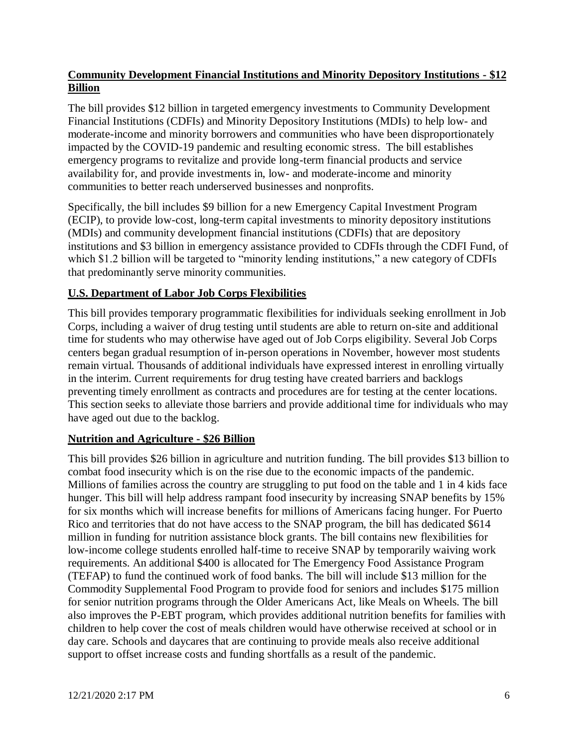# **Community Development Financial Institutions and Minority Depository Institutions - \$12 Billion**

The bill provides \$12 billion in targeted emergency investments to Community Development Financial Institutions (CDFIs) and Minority Depository Institutions (MDIs) to help low- and moderate-income and minority borrowers and communities who have been disproportionately impacted by the COVID-19 pandemic and resulting economic stress. The bill establishes emergency programs to revitalize and provide long-term financial products and service availability for, and provide investments in, low- and moderate-income and minority communities to better reach underserved businesses and nonprofits.

Specifically, the bill includes \$9 billion for a new Emergency Capital Investment Program (ECIP), to provide low-cost, long-term capital investments to minority depository institutions (MDIs) and community development financial institutions (CDFIs) that are depository institutions and \$3 billion in emergency assistance provided to CDFIs through the CDFI Fund, of which \$1.2 billion will be targeted to "minority lending institutions," a new category of CDFIs that predominantly serve minority communities.

# **U.S. Department of Labor Job Corps Flexibilities**

This bill provides temporary programmatic flexibilities for individuals seeking enrollment in Job Corps, including a waiver of drug testing until students are able to return on-site and additional time for students who may otherwise have aged out of Job Corps eligibility. Several Job Corps centers began gradual resumption of in-person operations in November, however most students remain virtual. Thousands of additional individuals have expressed interest in enrolling virtually in the interim. Current requirements for drug testing have created barriers and backlogs preventing timely enrollment as contracts and procedures are for testing at the center locations. This section seeks to alleviate those barriers and provide additional time for individuals who may have aged out due to the backlog.

### **Nutrition and Agriculture - \$26 Billion**

This bill provides \$26 billion in agriculture and nutrition funding. The bill provides \$13 billion to combat food insecurity which is on the rise due to the economic impacts of the pandemic. Millions of families across the country are struggling to put food on the table and 1 in 4 kids face hunger. This bill will help address rampant food insecurity by increasing SNAP benefits by 15% for six months which will increase benefits for millions of Americans facing hunger. For Puerto Rico and territories that do not have access to the SNAP program, the bill has dedicated \$614 million in funding for nutrition assistance block grants. The bill contains new flexibilities for low-income college students enrolled half-time to receive SNAP by temporarily waiving work requirements. An additional \$400 is allocated for The Emergency Food Assistance Program (TEFAP) to fund the continued work of food banks. The bill will include \$13 million for the Commodity Supplemental Food Program to provide food for seniors and includes \$175 million for senior nutrition programs through the Older Americans Act, like Meals on Wheels. The bill also improves the P-EBT program, which provides additional nutrition benefits for families with children to help cover the cost of meals children would have otherwise received at school or in day care. Schools and daycares that are continuing to provide meals also receive additional support to offset increase costs and funding shortfalls as a result of the pandemic.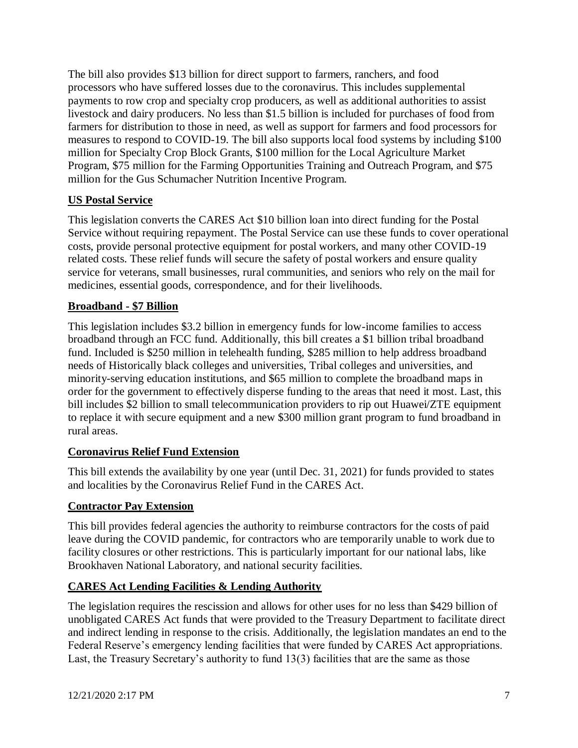The bill also provides \$13 billion for direct support to farmers, ranchers, and food processors who have suffered losses due to the coronavirus. This includes supplemental payments to row crop and specialty crop producers, as well as additional authorities to assist livestock and dairy producers. No less than \$1.5 billion is included for purchases of food from farmers for distribution to those in need, as well as support for farmers and food processors for measures to respond to COVID-19. The bill also supports local food systems by including \$100 million for Specialty Crop Block Grants, \$100 million for the Local Agriculture Market Program, \$75 million for the Farming Opportunities Training and Outreach Program, and \$75 million for the Gus Schumacher Nutrition Incentive Program.

## **US Postal Service**

This legislation converts the CARES Act \$10 billion loan into direct funding for the Postal Service without requiring repayment. The Postal Service can use these funds to cover operational costs, provide personal protective equipment for postal workers, and many other COVID-19 related costs. These relief funds will secure the safety of postal workers and ensure quality service for veterans, small businesses, rural communities, and seniors who rely on the mail for medicines, essential goods, correspondence, and for their livelihoods.

### **Broadband - \$7 Billion**

This legislation includes \$3.2 billion in emergency funds for low-income families to access broadband through an FCC fund. Additionally, this bill creates a \$1 billion tribal broadband fund. Included is \$250 million in telehealth funding, \$285 million to help address broadband needs of Historically black colleges and universities, Tribal colleges and universities, and minority-serving education institutions, and \$65 million to complete the broadband maps in order for the government to effectively disperse funding to the areas that need it most. Last, this bill includes \$2 billion to small telecommunication providers to rip out Huawei/ZTE equipment to replace it with secure equipment and a new \$300 million grant program to fund broadband in rural areas.

### **Coronavirus Relief Fund Extension**

This bill extends the availability by one year (until Dec. 31, 2021) for funds provided to states and localities by the Coronavirus Relief Fund in the CARES Act.

### **Contractor Pay Extension**

This bill provides federal agencies the authority to reimburse contractors for the costs of paid leave during the COVID pandemic, for contractors who are temporarily unable to work due to facility closures or other restrictions. This is particularly important for our national labs, like Brookhaven National Laboratory, and national security facilities.

### **CARES Act Lending Facilities & Lending Authority**

The legislation requires the rescission and allows for other uses for no less than \$429 billion of unobligated CARES Act funds that were provided to the Treasury Department to facilitate direct and indirect lending in response to the crisis. Additionally, the legislation mandates an end to the Federal Reserve's emergency lending facilities that were funded by CARES Act appropriations. Last, the Treasury Secretary's authority to fund 13(3) facilities that are the same as those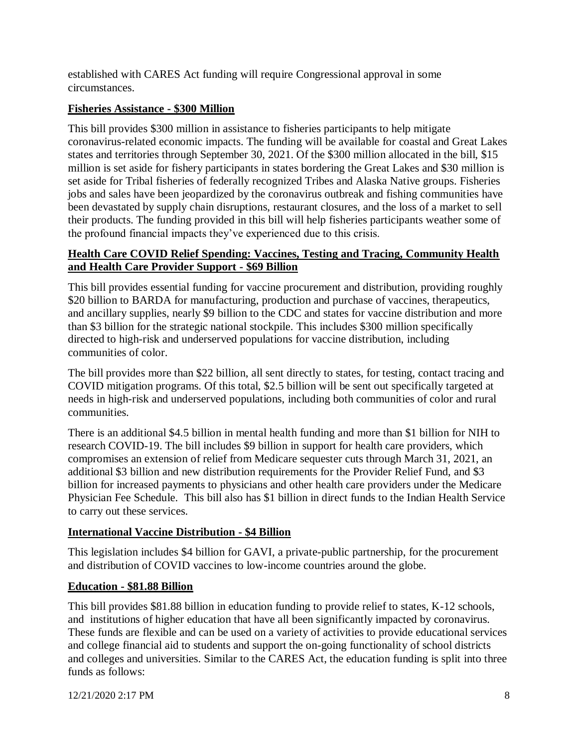established with CARES Act funding will require Congressional approval in some circumstances.

### **Fisheries Assistance - \$300 Million**

This bill provides \$300 million in assistance to fisheries participants to help mitigate coronavirus-related economic impacts. The funding will be available for coastal and Great Lakes states and territories through September 30, 2021. Of the \$300 million allocated in the bill, \$15 million is set aside for fishery participants in states bordering the Great Lakes and \$30 million is set aside for Tribal fisheries of federally recognized Tribes and Alaska Native groups. Fisheries jobs and sales have been jeopardized by the coronavirus outbreak and fishing communities have been devastated by supply chain disruptions, restaurant closures, and the loss of a market to sell their products. The funding provided in this bill will help fisheries participants weather some of the profound financial impacts they've experienced due to this crisis.

### **Health Care COVID Relief Spending: Vaccines, Testing and Tracing, Community Health and Health Care Provider Support - \$69 Billion**

This bill provides essential funding for vaccine procurement and distribution, providing roughly \$20 billion to BARDA for manufacturing, production and purchase of vaccines, therapeutics, and ancillary supplies, nearly \$9 billion to the CDC and states for vaccine distribution and more than \$3 billion for the strategic national stockpile. This includes \$300 million specifically directed to high-risk and underserved populations for vaccine distribution, including communities of color.

The bill provides more than \$22 billion, all sent directly to states, for testing, contact tracing and COVID mitigation programs. Of this total, \$2.5 billion will be sent out specifically targeted at needs in high-risk and underserved populations, including both communities of color and rural communities.

There is an additional \$4.5 billion in mental health funding and more than \$1 billion for NIH to research COVID-19. The bill includes \$9 billion in support for health care providers, which compromises an extension of relief from Medicare sequester cuts through March 31, 2021, an additional \$3 billion and new distribution requirements for the Provider Relief Fund, and \$3 billion for increased payments to physicians and other health care providers under the Medicare Physician Fee Schedule. This bill also has \$1 billion in direct funds to the Indian Health Service to carry out these services.

# **International Vaccine Distribution - \$4 Billion**

This legislation includes \$4 billion for GAVI, a private-public partnership, for the procurement and distribution of COVID vaccines to low-income countries around the globe.

### **Education - \$81.88 Billion**

This bill provides \$81.88 billion in education funding to provide relief to states, K-12 schools, and institutions of higher education that have all been significantly impacted by coronavirus. These funds are flexible and can be used on a variety of activities to provide educational services and college financial aid to students and support the on-going functionality of school districts and colleges and universities. Similar to the CARES Act, the education funding is split into three funds as follows: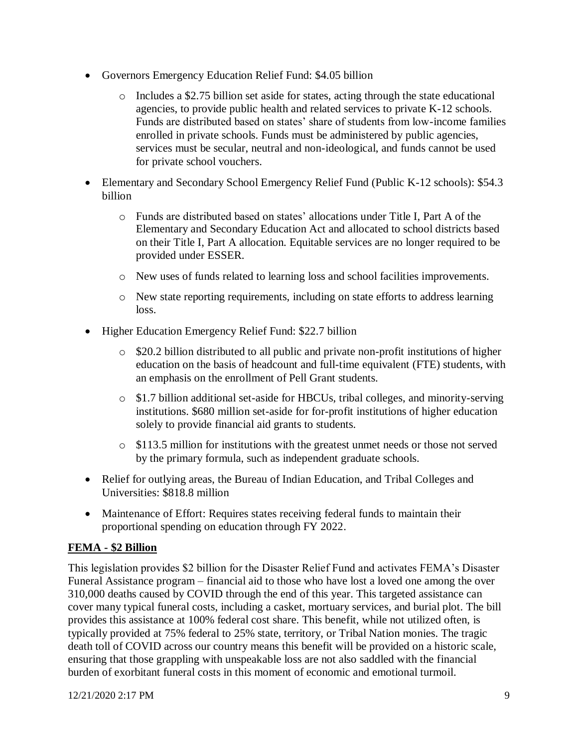- Governors Emergency Education Relief Fund: \$4.05 billion
	- $\circ$  Includes a \$2.75 billion set aside for states, acting through the state educational agencies, to provide public health and related services to private K-12 schools. Funds are distributed based on states' share of students from low-income families enrolled in private schools. Funds must be administered by public agencies, services must be secular, neutral and non-ideological, and funds cannot be used for private school vouchers.
- Elementary and Secondary School Emergency Relief Fund (Public K-12 schools): \$54.3 billion
	- o Funds are distributed based on states' allocations under Title I, Part A of the Elementary and Secondary Education Act and allocated to school districts based on their Title I, Part A allocation. Equitable services are no longer required to be provided under ESSER.
	- o New uses of funds related to learning loss and school facilities improvements.
	- o New state reporting requirements, including on state efforts to address learning loss.
- Higher Education Emergency Relief Fund: \$22.7 billion
	- o \$20.2 billion distributed to all public and private non-profit institutions of higher education on the basis of headcount and full-time equivalent (FTE) students, with an emphasis on the enrollment of Pell Grant students.
	- o \$1.7 billion additional set-aside for HBCUs, tribal colleges, and minority-serving institutions. \$680 million set-aside for for-profit institutions of higher education solely to provide financial aid grants to students.
	- o \$113.5 million for institutions with the greatest unmet needs or those not served by the primary formula, such as independent graduate schools.
- Relief for outlying areas, the Bureau of Indian Education, and Tribal Colleges and Universities: \$818.8 million
- Maintenance of Effort: Requires states receiving federal funds to maintain their proportional spending on education through FY 2022.

# **FEMA - \$2 Billion**

This legislation provides \$2 billion for the Disaster Relief Fund and activates FEMA's Disaster Funeral Assistance program – financial aid to those who have lost a loved one among the over 310,000 deaths caused by COVID through the end of this year. This targeted assistance can cover many typical funeral costs, including a casket, mortuary services, and burial plot. The bill provides this assistance at 100% federal cost share. This benefit, while not utilized often, is typically provided at 75% federal to 25% state, territory, or Tribal Nation monies. The tragic death toll of COVID across our country means this benefit will be provided on a historic scale, ensuring that those grappling with unspeakable loss are not also saddled with the financial burden of exorbitant funeral costs in this moment of economic and emotional turmoil.